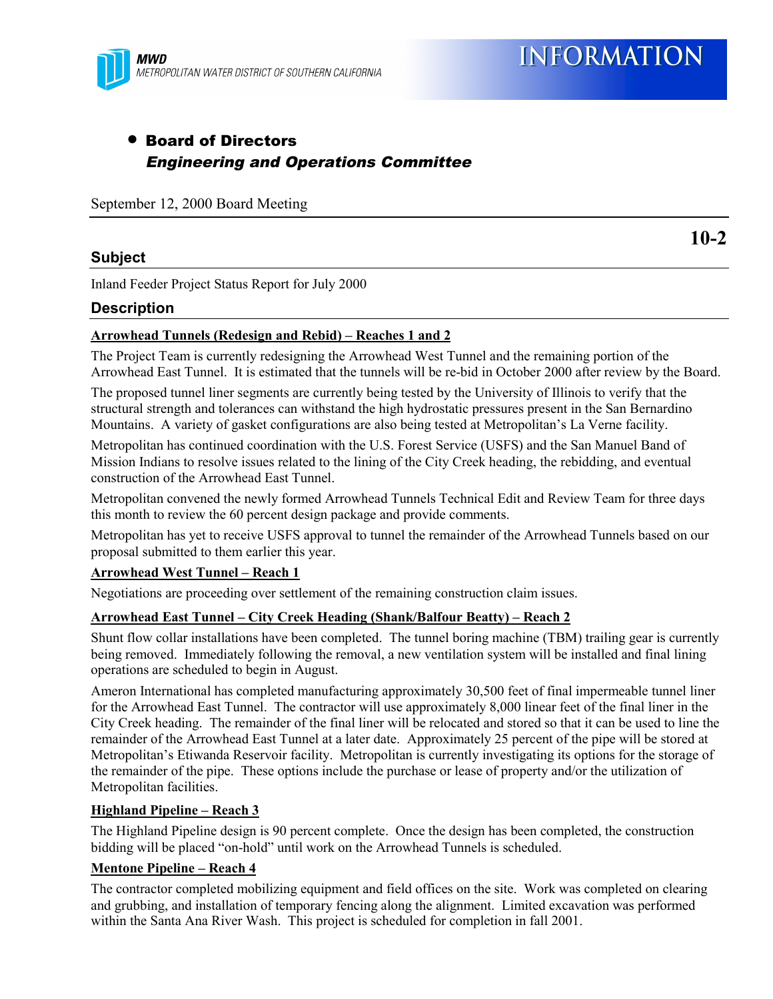

## • Board of Directors Engineering and Operations Committee

September 12, 2000 Board Meeting

### **Subject**

**10-2**

Inland Feeder Project Status Report for July 2000

#### **Description**

#### **Arrowhead Tunnels (Redesign and Rebid) – Reaches 1 and 2**

The Project Team is currently redesigning the Arrowhead West Tunnel and the remaining portion of the Arrowhead East Tunnel. It is estimated that the tunnels will be re-bid in October 2000 after review by the Board.

The proposed tunnel liner segments are currently being tested by the University of Illinois to verify that the structural strength and tolerances can withstand the high hydrostatic pressures present in the San Bernardino Mountains. A variety of gasket configurations are also being tested at Metropolitan's La Verne facility.

Metropolitan has continued coordination with the U.S. Forest Service (USFS) and the San Manuel Band of Mission Indians to resolve issues related to the lining of the City Creek heading, the rebidding, and eventual construction of the Arrowhead East Tunnel.

Metropolitan convened the newly formed Arrowhead Tunnels Technical Edit and Review Team for three days this month to review the 60 percent design package and provide comments.

Metropolitan has yet to receive USFS approval to tunnel the remainder of the Arrowhead Tunnels based on our proposal submitted to them earlier this year.

#### **Arrowhead West Tunnel – Reach 1**

Negotiations are proceeding over settlement of the remaining construction claim issues.

#### **Arrowhead East Tunnel – City Creek Heading (Shank/Balfour Beatty) – Reach 2**

Shunt flow collar installations have been completed. The tunnel boring machine (TBM) trailing gear is currently being removed. Immediately following the removal, a new ventilation system will be installed and final lining operations are scheduled to begin in August.

Ameron International has completed manufacturing approximately 30,500 feet of final impermeable tunnel liner for the Arrowhead East Tunnel. The contractor will use approximately 8,000 linear feet of the final liner in the City Creek heading. The remainder of the final liner will be relocated and stored so that it can be used to line the remainder of the Arrowhead East Tunnel at a later date. Approximately 25 percent of the pipe will be stored at Metropolitan's Etiwanda Reservoir facility. Metropolitan is currently investigating its options for the storage of the remainder of the pipe. These options include the purchase or lease of property and/or the utilization of Metropolitan facilities.

#### **Highland Pipeline – Reach 3**

The Highland Pipeline design is 90 percent complete. Once the design has been completed, the construction bidding will be placed "on-hold" until work on the Arrowhead Tunnels is scheduled.

#### **Mentone Pipeline – Reach 4**

The contractor completed mobilizing equipment and field offices on the site. Work was completed on clearing and grubbing, and installation of temporary fencing along the alignment. Limited excavation was performed within the Santa Ana River Wash. This project is scheduled for completion in fall 2001.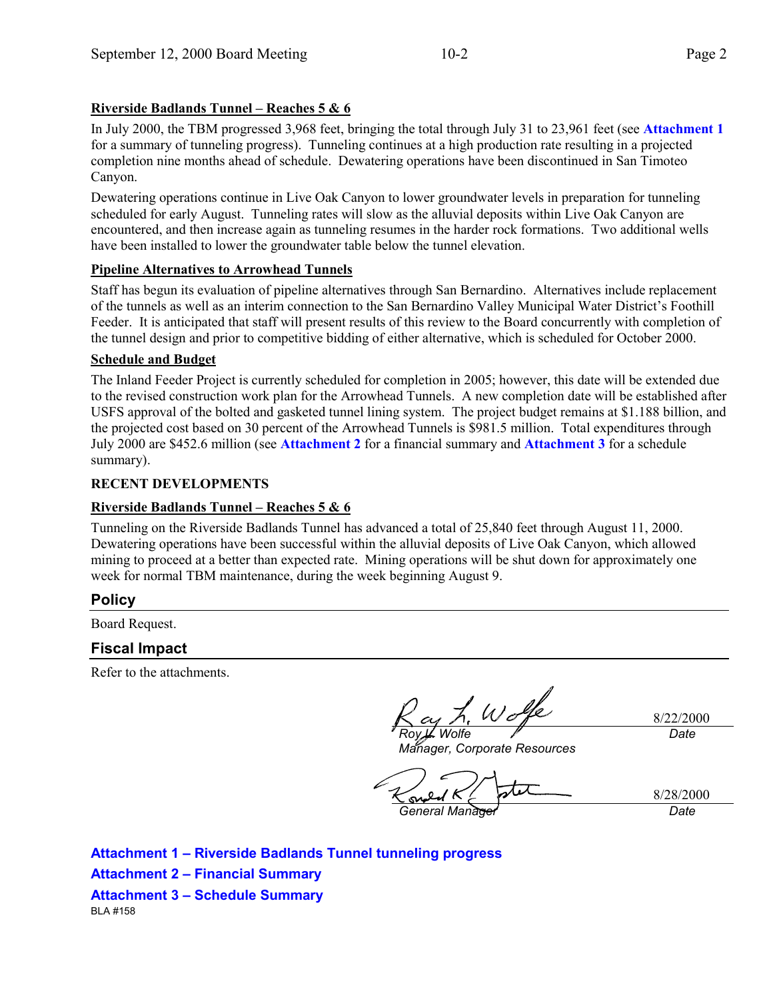## **Riverside Badlands Tunnel – Reaches 5 & 6**

In July 2000, the TBM progressed 3,968 feet, bringing the total through July 31 to 23,961 feet (see **Attachment 1** for a summary of tunneling progress). Tunneling continues at a high production rate resulting in a projected completion nine months ahead of schedule. Dewatering operations have been discontinued in San Timoteo Canyon.

Dewatering operations continue in Live Oak Canyon to lower groundwater levels in preparation for tunneling scheduled for early August. Tunneling rates will slow as the alluvial deposits within Live Oak Canyon are encountered, and then increase again as tunneling resumes in the harder rock formations. Two additional wells have been installed to lower the groundwater table below the tunnel elevation.

### **Pipeline Alternatives to Arrowhead Tunnels**

Staff has begun its evaluation of pipeline alternatives through San Bernardino. Alternatives include replacement of the tunnels as well as an interim connection to the San Bernardino Valley Municipal Water District's Foothill Feeder. It is anticipated that staff will present results of this review to the Board concurrently with completion of the tunnel design and prior to competitive bidding of either alternative, which is scheduled for October 2000.

### **Schedule and Budget**

The Inland Feeder Project is currently scheduled for completion in 2005; however, this date will be extended due to the revised construction work plan for the Arrowhead Tunnels. A new completion date will be established after USFS approval of the bolted and gasketed tunnel lining system. The project budget remains at \$1.188 billion, and the projected cost based on 30 percent of the Arrowhead Tunnels is \$981.5 million. Total expenditures through July 2000 are \$452.6 million (see **Attachment 2** for a financial summary and **Attachment 3** for a schedule summary).

#### **RECENT DEVELOPMENTS**

#### **Riverside Badlands Tunnel – Reaches 5 & 6**

Tunneling on the Riverside Badlands Tunnel has advanced a total of 25,840 feet through August 11, 2000. Dewatering operations have been successful within the alluvial deposits of Live Oak Canyon, which allowed mining to proceed at a better than expected rate. Mining operations will be shut down for approximately one week for normal TBM maintenance, during the week beginning August 9.

## **Policy**

Board Request.

## **Fiscal Impact**

Refer to the attachments.

*Roy L. Wolfe*

8/22/2000 *Date*

*Manager, Corporate Resources*

sy. *General Manager Date*

8/28/2000

**Attachment 1 – Riverside Badlands Tunnel tunneling progress Attachment 2 – Financial Summary Attachment 3 – Schedule Summary** BLA #158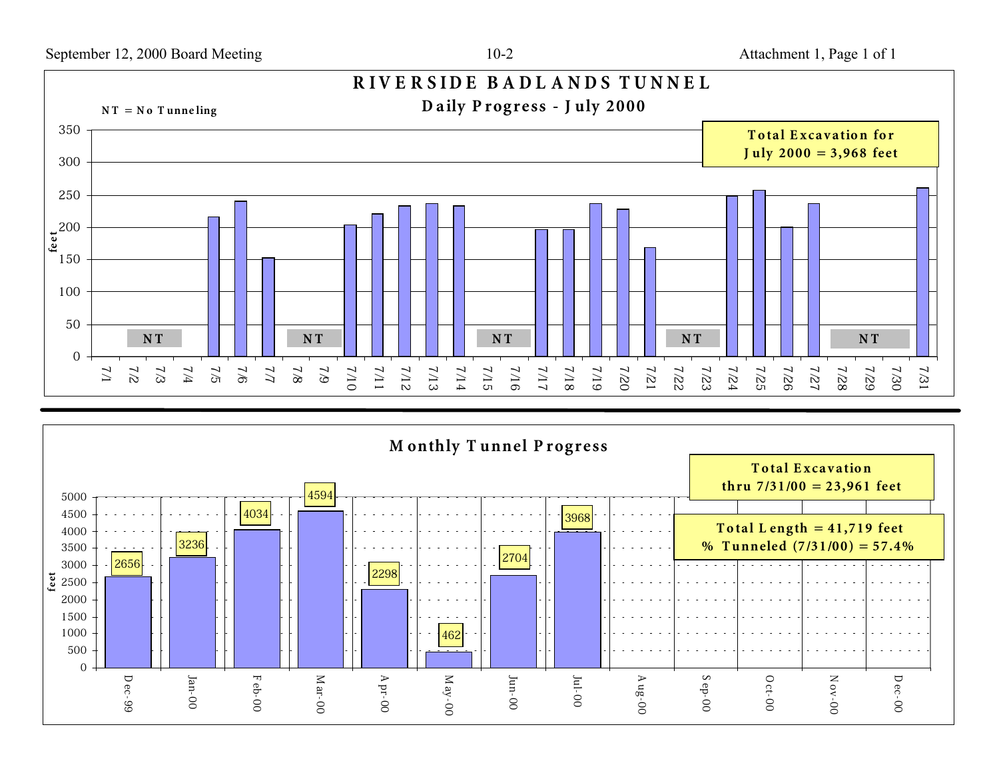

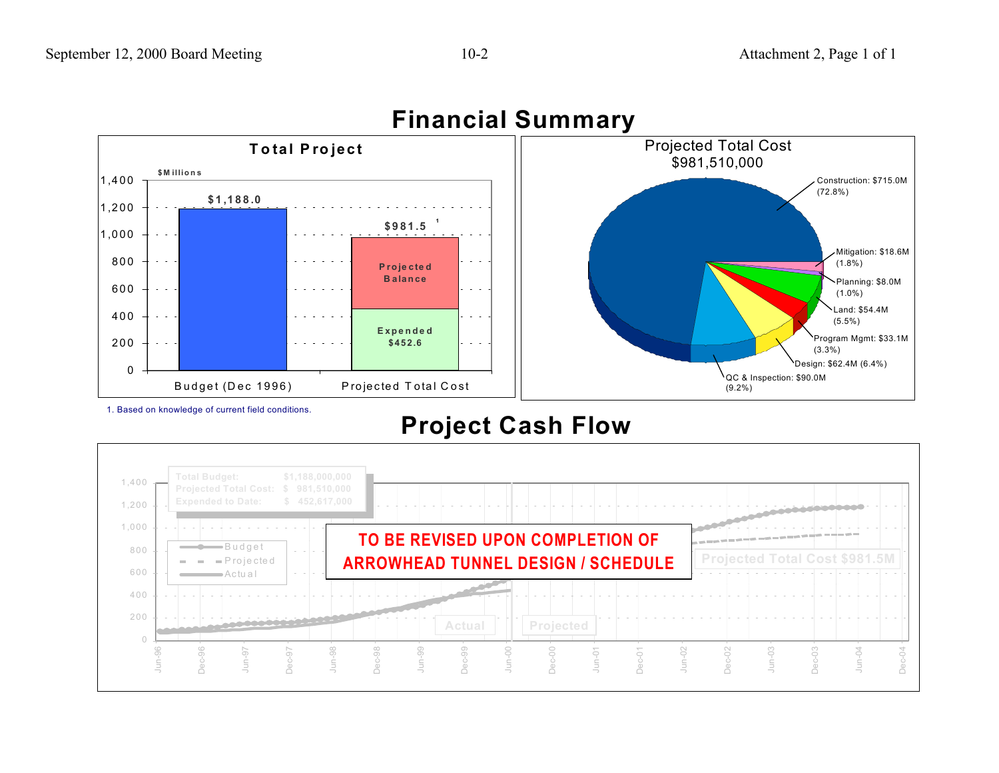

# **Financial Summary**